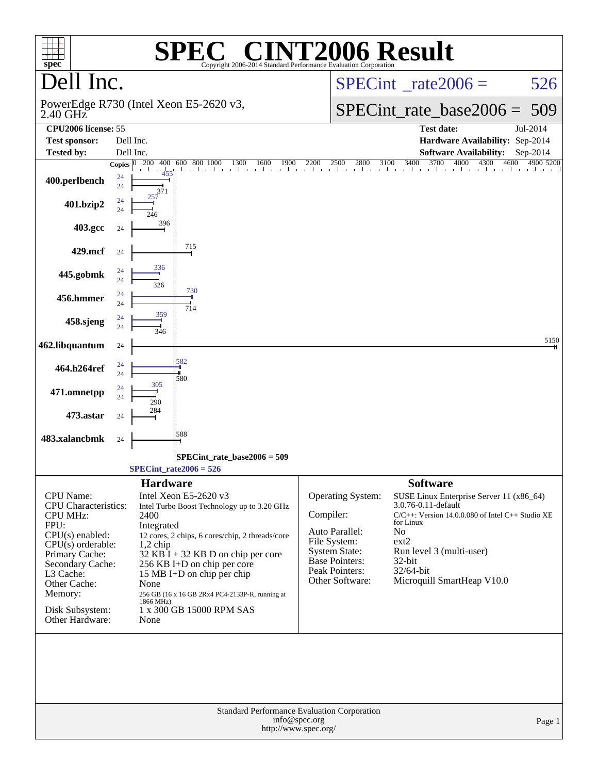| $spec^*$                           | $\lceil$ ' $\mathbb{R}$ $\lceil$ ' $\rceil$<br>SPE<br>Copyright 2006-2014 Standard Performance Evaluation Corporation                   | <b>INT2006 Result</b>                                                               |
|------------------------------------|-----------------------------------------------------------------------------------------------------------------------------------------|-------------------------------------------------------------------------------------|
| Dell Inc.                          |                                                                                                                                         | $SPECint^{\circ}$ rate 2006 =<br>526                                                |
| $2.40$ GHz                         | PowerEdge R730 (Intel Xeon E5-2620 v3,                                                                                                  | $SPECint_rate\_base2006 =$<br>509                                                   |
| CPU2006 license: 55                |                                                                                                                                         | <b>Test date:</b><br>Jul-2014                                                       |
| <b>Test sponsor:</b>               | Dell Inc.                                                                                                                               | Hardware Availability: Sep-2014                                                     |
| <b>Tested by:</b>                  | Dell Inc.                                                                                                                               | <b>Software Availability:</b><br>$Sep-2014$                                         |
|                                    | $\begin{bmatrix} 00 & 800 & 1000 & 1300 & 1600 & 1900 & 2200 \end{bmatrix}$<br>Copies $\overline{0\quad 200 \quad 400}$<br>600 800 1000 | 2500 2800 3100 3400 3700 4000 4300 4600 4900 5200                                   |
| 400.perlbench                      | 24<br>24<br>371                                                                                                                         |                                                                                     |
| 401.bzip2                          | 24<br>24                                                                                                                                |                                                                                     |
| 403.gcc                            | 396<br>24                                                                                                                               |                                                                                     |
| 429.mcf                            | 715<br>24                                                                                                                               |                                                                                     |
| 445.gobmk                          | 336<br>24<br>24<br>326<br>730                                                                                                           |                                                                                     |
| 456.hmmer                          | 24<br>24<br>714<br>359                                                                                                                  |                                                                                     |
| 458.sjeng                          | 24<br>24<br>346                                                                                                                         |                                                                                     |
| 462.libquantum                     | 24                                                                                                                                      | 5150                                                                                |
| 464.h264ref                        | 582<br>24<br>24<br>:580                                                                                                                 |                                                                                     |
| 471.omnetpp                        | 305<br>24<br>24<br>290                                                                                                                  |                                                                                     |
| 473.astar                          | 284<br>24                                                                                                                               |                                                                                     |
| 483.xalancbmk                      | 588<br>24                                                                                                                               |                                                                                     |
|                                    | SPECint rate base $2006 = 509$                                                                                                          |                                                                                     |
|                                    | $SPECint_rate2006 = 526$                                                                                                                |                                                                                     |
|                                    | <b>Hardware</b>                                                                                                                         | <b>Software</b>                                                                     |
| CPU Name:                          | Intel Xeon E5-2620 v3                                                                                                                   | <b>Operating System:</b><br>SUSE Linux Enterprise Server 11 (x86_64)                |
| <b>CPU</b> Characteristics:        | Intel Turbo Boost Technology up to 3.20 GHz                                                                                             | 3.0.76-0.11-default                                                                 |
| <b>CPU MHz:</b><br>FPU:            | 2400<br>Integrated                                                                                                                      | Compiler:<br>$C/C++$ : Version 14.0.0.080 of Intel $C++$ Studio XE<br>for Linux     |
| $CPU(s)$ enabled:                  | 12 cores, 2 chips, 6 cores/chip, 2 threads/core                                                                                         | Auto Parallel:<br>N <sub>o</sub>                                                    |
| $CPU(s)$ orderable:                | $1,2$ chip                                                                                                                              | File System:<br>ext2                                                                |
| Primary Cache:                     | $32$ KB I + 32 KB D on chip per core                                                                                                    | <b>System State:</b><br>Run level 3 (multi-user)<br><b>Base Pointers:</b><br>32-bit |
| Secondary Cache:<br>L3 Cache:      | 256 KB I+D on chip per core<br>15 MB I+D on chip per chip                                                                               | Peak Pointers:<br>32/64-bit                                                         |
| Other Cache:                       | None                                                                                                                                    | Microquill SmartHeap V10.0<br>Other Software:                                       |
| Memory:                            | 256 GB (16 x 16 GB 2Rx4 PC4-2133P-R, running at                                                                                         |                                                                                     |
| Disk Subsystem:<br>Other Hardware: | 1866 MHz)<br>1 x 300 GB 15000 RPM SAS<br>None                                                                                           |                                                                                     |
|                                    |                                                                                                                                         |                                                                                     |
|                                    | Standard Performance Evaluation Corporation<br>info@spec.org<br>http://www.spec.org/                                                    | Page 1                                                                              |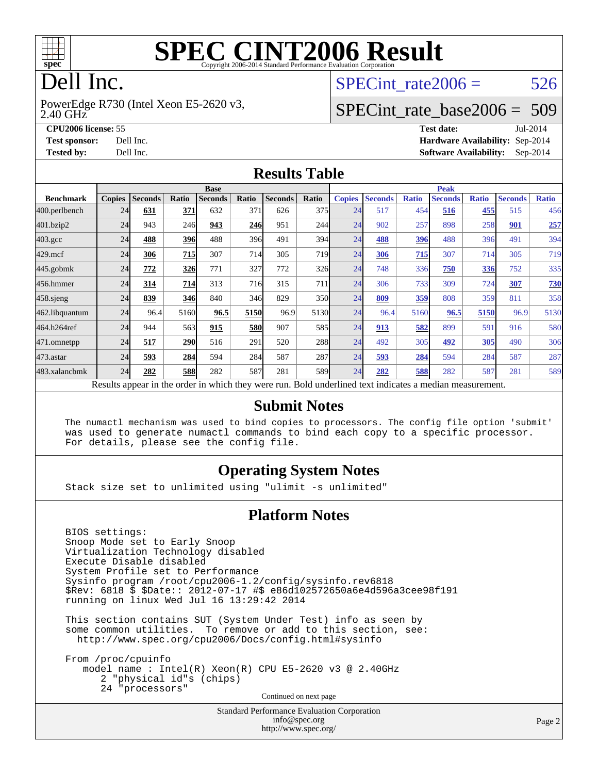

# **[SPEC CINT2006 Result](http://www.spec.org/auto/cpu2006/Docs/result-fields.html#SPECCINT2006Result)**

# Dell Inc.

2.40 GHz PowerEdge R730 (Intel Xeon E5-2620 v3, SPECint rate $2006 = 526$ 

## [SPECint\\_rate\\_base2006 =](http://www.spec.org/auto/cpu2006/Docs/result-fields.html#SPECintratebase2006) 509

**[CPU2006 license:](http://www.spec.org/auto/cpu2006/Docs/result-fields.html#CPU2006license)** 55 **[Test date:](http://www.spec.org/auto/cpu2006/Docs/result-fields.html#Testdate)** Jul-2014 **[Test sponsor:](http://www.spec.org/auto/cpu2006/Docs/result-fields.html#Testsponsor)** Dell Inc. **[Hardware Availability:](http://www.spec.org/auto/cpu2006/Docs/result-fields.html#HardwareAvailability)** Sep-2014 **[Tested by:](http://www.spec.org/auto/cpu2006/Docs/result-fields.html#Testedby)** Dell Inc. **[Software Availability:](http://www.spec.org/auto/cpu2006/Docs/result-fields.html#SoftwareAvailability)** Sep-2014

#### **[Results Table](http://www.spec.org/auto/cpu2006/Docs/result-fields.html#ResultsTable)**

|                                                                                                          | <b>Base</b>   |                |            |                |            | <b>Peak</b>    |                  |               |                |              |                |              |                |              |
|----------------------------------------------------------------------------------------------------------|---------------|----------------|------------|----------------|------------|----------------|------------------|---------------|----------------|--------------|----------------|--------------|----------------|--------------|
| <b>Benchmark</b>                                                                                         | <b>Copies</b> | <b>Seconds</b> | Ratio      | <b>Seconds</b> | Ratio      | <b>Seconds</b> | Ratio            | <b>Copies</b> | <b>Seconds</b> | <b>Ratio</b> | <b>Seconds</b> | <b>Ratio</b> | <b>Seconds</b> | <b>Ratio</b> |
| 400.perlbench                                                                                            | 24            | 631            | 371        | 632            | 371        | 626            | 375              | 24            | 517            | 454          | 516            | 455          | 515            | 456          |
| 401.bzip2                                                                                                | 24            | 943            | 246        | 943            | 246        | 951            | 244              | 24            | 902            | 257          | 898            | 258          | 901            | 257          |
| $403.\text{gcc}$                                                                                         | 24            | 488            | 396        | 488            | 396        | 491            | 394              | 24            | 488            | 396          | 488            | 396          | 491            | 394          |
| $429$ .mcf                                                                                               | 24            | 306            | 715        | 307            | 714        | 305            | 719              | 24            | 306            | 715          | 307            | 714          | 305            | 719          |
| $445$ .gobmk                                                                                             | 24            | 772            | 326        | 771            | 327        | 772            | 326              | 24            | 748            | 336          | 750            | 336          | 752            | 335          |
| 456.hmmer                                                                                                | 24            | 314            | 714        | 313            | 716        | 315            | 711              | 24            | 306            | 733          | 309            | 724          | 307            | <b>730</b>   |
| $458$ .sjeng                                                                                             | 24            | 839            | 346        | 840            | 346        | 829            | 350l             | 24            | 809            | 359          | 808            | 359          | 811            | 358          |
| 462.libquantum                                                                                           | 24            | 96.4           | 5160       | 96.5           | 5150       | 96.9           | 5130             | 24            | 96.4           | 5160         | 96.5           | 5150         | 96.9           | 5130         |
| 464.h264ref                                                                                              | 24            | 944            | 563        | 915            | <b>580</b> | 907            | 585              | 24            | 913            | 582          | 899            | 591          | 916            | 580          |
| 471.omnetpp                                                                                              | 24            | 517            | 290        | 516            | 291        | 520            | 288              | 24            | 492            | 305          | 492            | <b>305</b>   | 490            | 306          |
| $473$ . astar                                                                                            | 24            | 593            | 284        | 594            | 284        | 587            | 287              | 24            | 593            | 284          | 594            | 284          | 587            | 287          |
| 483.xalancbmk                                                                                            | 24            | 282            | <b>588</b> | 282            | 587        | 281            | 589 <sub>1</sub> | 24            | 282            | 588          | 282            | 587          | 281            | 589          |
| Results appear in the order in which they were run. Bold underlined text indicates a median measurement. |               |                |            |                |            |                |                  |               |                |              |                |              |                |              |

#### **[Submit Notes](http://www.spec.org/auto/cpu2006/Docs/result-fields.html#SubmitNotes)**

 The numactl mechanism was used to bind copies to processors. The config file option 'submit' was used to generate numactl commands to bind each copy to a specific processor. For details, please see the config file.

### **[Operating System Notes](http://www.spec.org/auto/cpu2006/Docs/result-fields.html#OperatingSystemNotes)**

Stack size set to unlimited using "ulimit -s unlimited"

#### **[Platform Notes](http://www.spec.org/auto/cpu2006/Docs/result-fields.html#PlatformNotes)**

 BIOS settings: Snoop Mode set to Early Snoop Virtualization Technology disabled Execute Disable disabled System Profile set to Performance Sysinfo program /root/cpu2006-1.2/config/sysinfo.rev6818 \$Rev: 6818 \$ \$Date:: 2012-07-17 #\$ e86d102572650a6e4d596a3cee98f191 running on linux Wed Jul 16 13:29:42 2014

 This section contains SUT (System Under Test) info as seen by some common utilities. To remove or add to this section, see: <http://www.spec.org/cpu2006/Docs/config.html#sysinfo>

 From /proc/cpuinfo model name : Intel(R) Xeon(R) CPU E5-2620 v3 @ 2.40GHz 2 "physical id"s (chips) 24 "processors" Continued on next page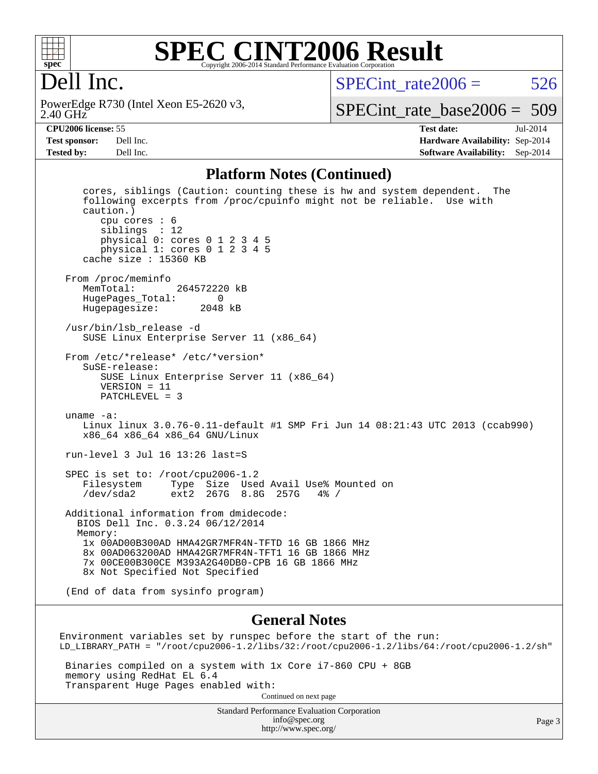

### **[SPEC CINT2006 Result](http://www.spec.org/auto/cpu2006/Docs/result-fields.html#SPECCINT2006Result)** Copyright 2006-2014 Standard Performance Evaluation Corporation

## Dell Inc.

2.40 GHz PowerEdge R730 (Intel Xeon E5-2620 v3, SPECint rate $2006 = 526$ 

[SPECint\\_rate\\_base2006 =](http://www.spec.org/auto/cpu2006/Docs/result-fields.html#SPECintratebase2006) 509

**[CPU2006 license:](http://www.spec.org/auto/cpu2006/Docs/result-fields.html#CPU2006license)** 55 **[Test date:](http://www.spec.org/auto/cpu2006/Docs/result-fields.html#Testdate)** Jul-2014 **[Test sponsor:](http://www.spec.org/auto/cpu2006/Docs/result-fields.html#Testsponsor)** Dell Inc. **[Hardware Availability:](http://www.spec.org/auto/cpu2006/Docs/result-fields.html#HardwareAvailability)** Sep-2014 **[Tested by:](http://www.spec.org/auto/cpu2006/Docs/result-fields.html#Testedby)** Dell Inc. **[Software Availability:](http://www.spec.org/auto/cpu2006/Docs/result-fields.html#SoftwareAvailability)** Sep-2014

#### **[Platform Notes \(Continued\)](http://www.spec.org/auto/cpu2006/Docs/result-fields.html#PlatformNotes)**

 cores, siblings (Caution: counting these is hw and system dependent. The following excerpts from /proc/cpuinfo might not be reliable. Use with caution.) cpu cores : 6 siblings : 12 physical 0: cores 0 1 2 3 4 5 physical 1: cores 0 1 2 3 4 5 cache size : 15360 KB From /proc/meminfo<br>MemTotal: 264572220 kB HugePages\_Total: 0 Hugepagesize: 2048 kB /usr/bin/lsb\_release -d SUSE Linux Enterprise Server 11 (x86\_64) From /etc/\*release\* /etc/\*version\* SuSE-release: SUSE Linux Enterprise Server 11 (x86\_64) VERSION = 11 PATCHLEVEL = 3 uname -a: Linux linux 3.0.76-0.11-default #1 SMP Fri Jun 14 08:21:43 UTC 2013 (ccab990) x86\_64 x86\_64 x86\_64 GNU/Linux run-level 3 Jul 16 13:26 last=S SPEC is set to: /root/cpu2006-1.2 Filesystem Type Size Used Avail Use% Mounted on /dev/sda2 ext2 267G 8.8G 257G 4% / Additional information from dmidecode: BIOS Dell Inc. 0.3.24 06/12/2014 Memory: 1x 00AD00B300AD HMA42GR7MFR4N-TFTD 16 GB 1866 MHz 8x 00AD063200AD HMA42GR7MFR4N-TFT1 16 GB 1866 MHz 7x 00CE00B300CE M393A2G40DB0-CPB 16 GB 1866 MHz 8x Not Specified Not Specified (End of data from sysinfo program)

#### **[General Notes](http://www.spec.org/auto/cpu2006/Docs/result-fields.html#GeneralNotes)**

Environment variables set by runspec before the start of the run: LD\_LIBRARY\_PATH = "/root/cpu2006-1.2/libs/32:/root/cpu2006-1.2/libs/64:/root/cpu2006-1.2/sh"

 Binaries compiled on a system with 1x Core i7-860 CPU + 8GB memory using RedHat EL 6.4 Transparent Huge Pages enabled with: Continued on next page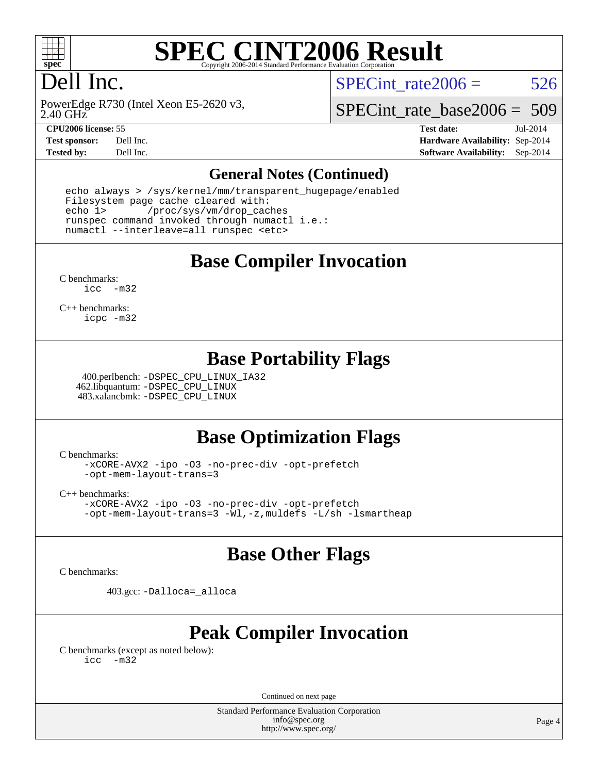

2.40 GHz

# **[SPEC CINT2006 Result](http://www.spec.org/auto/cpu2006/Docs/result-fields.html#SPECCINT2006Result)**

# Dell Inc.

PowerEdge R730 (Intel Xeon E5-2620 v3,

SPECint rate $2006 = 526$ 

[SPECint\\_rate\\_base2006 =](http://www.spec.org/auto/cpu2006/Docs/result-fields.html#SPECintratebase2006) 509

**[CPU2006 license:](http://www.spec.org/auto/cpu2006/Docs/result-fields.html#CPU2006license)** 55 **[Test date:](http://www.spec.org/auto/cpu2006/Docs/result-fields.html#Testdate)** Jul-2014 **[Test sponsor:](http://www.spec.org/auto/cpu2006/Docs/result-fields.html#Testsponsor)** Dell Inc. **[Hardware Availability:](http://www.spec.org/auto/cpu2006/Docs/result-fields.html#HardwareAvailability)** Sep-2014 **[Tested by:](http://www.spec.org/auto/cpu2006/Docs/result-fields.html#Testedby)** Dell Inc. **[Software Availability:](http://www.spec.org/auto/cpu2006/Docs/result-fields.html#SoftwareAvailability)** Sep-2014

#### **[General Notes \(Continued\)](http://www.spec.org/auto/cpu2006/Docs/result-fields.html#GeneralNotes)**

 echo always > /sys/kernel/mm/transparent\_hugepage/enabled Filesystem page cache cleared with: echo 1> /proc/sys/vm/drop\_caches runspec command invoked through numactl i.e.: numactl --interleave=all runspec <etc>

**[Base Compiler Invocation](http://www.spec.org/auto/cpu2006/Docs/result-fields.html#BaseCompilerInvocation)**

[C benchmarks](http://www.spec.org/auto/cpu2006/Docs/result-fields.html#Cbenchmarks): [icc -m32](http://www.spec.org/cpu2006/results/res2014q3/cpu2006-20140909-31349.flags.html#user_CCbase_intel_icc_5ff4a39e364c98233615fdd38438c6f2)

[C++ benchmarks:](http://www.spec.org/auto/cpu2006/Docs/result-fields.html#CXXbenchmarks) [icpc -m32](http://www.spec.org/cpu2006/results/res2014q3/cpu2006-20140909-31349.flags.html#user_CXXbase_intel_icpc_4e5a5ef1a53fd332b3c49e69c3330699)

## **[Base Portability Flags](http://www.spec.org/auto/cpu2006/Docs/result-fields.html#BasePortabilityFlags)**

 400.perlbench: [-DSPEC\\_CPU\\_LINUX\\_IA32](http://www.spec.org/cpu2006/results/res2014q3/cpu2006-20140909-31349.flags.html#b400.perlbench_baseCPORTABILITY_DSPEC_CPU_LINUX_IA32) 462.libquantum: [-DSPEC\\_CPU\\_LINUX](http://www.spec.org/cpu2006/results/res2014q3/cpu2006-20140909-31349.flags.html#b462.libquantum_baseCPORTABILITY_DSPEC_CPU_LINUX) 483.xalancbmk: [-DSPEC\\_CPU\\_LINUX](http://www.spec.org/cpu2006/results/res2014q3/cpu2006-20140909-31349.flags.html#b483.xalancbmk_baseCXXPORTABILITY_DSPEC_CPU_LINUX)

## **[Base Optimization Flags](http://www.spec.org/auto/cpu2006/Docs/result-fields.html#BaseOptimizationFlags)**

[C benchmarks](http://www.spec.org/auto/cpu2006/Docs/result-fields.html#Cbenchmarks):

[-xCORE-AVX2](http://www.spec.org/cpu2006/results/res2014q3/cpu2006-20140909-31349.flags.html#user_CCbase_f-xAVX2_5f5fc0cbe2c9f62c816d3e45806c70d7) [-ipo](http://www.spec.org/cpu2006/results/res2014q3/cpu2006-20140909-31349.flags.html#user_CCbase_f-ipo) [-O3](http://www.spec.org/cpu2006/results/res2014q3/cpu2006-20140909-31349.flags.html#user_CCbase_f-O3) [-no-prec-div](http://www.spec.org/cpu2006/results/res2014q3/cpu2006-20140909-31349.flags.html#user_CCbase_f-no-prec-div) [-opt-prefetch](http://www.spec.org/cpu2006/results/res2014q3/cpu2006-20140909-31349.flags.html#user_CCbase_f-opt-prefetch) [-opt-mem-layout-trans=3](http://www.spec.org/cpu2006/results/res2014q3/cpu2006-20140909-31349.flags.html#user_CCbase_f-opt-mem-layout-trans_a7b82ad4bd7abf52556d4961a2ae94d5)

[C++ benchmarks:](http://www.spec.org/auto/cpu2006/Docs/result-fields.html#CXXbenchmarks)

[-xCORE-AVX2](http://www.spec.org/cpu2006/results/res2014q3/cpu2006-20140909-31349.flags.html#user_CXXbase_f-xAVX2_5f5fc0cbe2c9f62c816d3e45806c70d7) [-ipo](http://www.spec.org/cpu2006/results/res2014q3/cpu2006-20140909-31349.flags.html#user_CXXbase_f-ipo) [-O3](http://www.spec.org/cpu2006/results/res2014q3/cpu2006-20140909-31349.flags.html#user_CXXbase_f-O3) [-no-prec-div](http://www.spec.org/cpu2006/results/res2014q3/cpu2006-20140909-31349.flags.html#user_CXXbase_f-no-prec-div) [-opt-prefetch](http://www.spec.org/cpu2006/results/res2014q3/cpu2006-20140909-31349.flags.html#user_CXXbase_f-opt-prefetch) [-opt-mem-layout-trans=3](http://www.spec.org/cpu2006/results/res2014q3/cpu2006-20140909-31349.flags.html#user_CXXbase_f-opt-mem-layout-trans_a7b82ad4bd7abf52556d4961a2ae94d5) [-Wl,-z,muldefs](http://www.spec.org/cpu2006/results/res2014q3/cpu2006-20140909-31349.flags.html#user_CXXbase_link_force_multiple1_74079c344b956b9658436fd1b6dd3a8a) [-L/sh -lsmartheap](http://www.spec.org/cpu2006/results/res2014q3/cpu2006-20140909-31349.flags.html#user_CXXbase_SmartHeap_32f6c82aa1ed9c52345d30cf6e4a0499)

## **[Base Other Flags](http://www.spec.org/auto/cpu2006/Docs/result-fields.html#BaseOtherFlags)**

[C benchmarks](http://www.spec.org/auto/cpu2006/Docs/result-fields.html#Cbenchmarks):

403.gcc: [-Dalloca=\\_alloca](http://www.spec.org/cpu2006/results/res2014q3/cpu2006-20140909-31349.flags.html#b403.gcc_baseEXTRA_CFLAGS_Dalloca_be3056838c12de2578596ca5467af7f3)

## **[Peak Compiler Invocation](http://www.spec.org/auto/cpu2006/Docs/result-fields.html#PeakCompilerInvocation)**

[C benchmarks \(except as noted below\)](http://www.spec.org/auto/cpu2006/Docs/result-fields.html#Cbenchmarksexceptasnotedbelow): [icc -m32](http://www.spec.org/cpu2006/results/res2014q3/cpu2006-20140909-31349.flags.html#user_CCpeak_intel_icc_5ff4a39e364c98233615fdd38438c6f2)

Continued on next page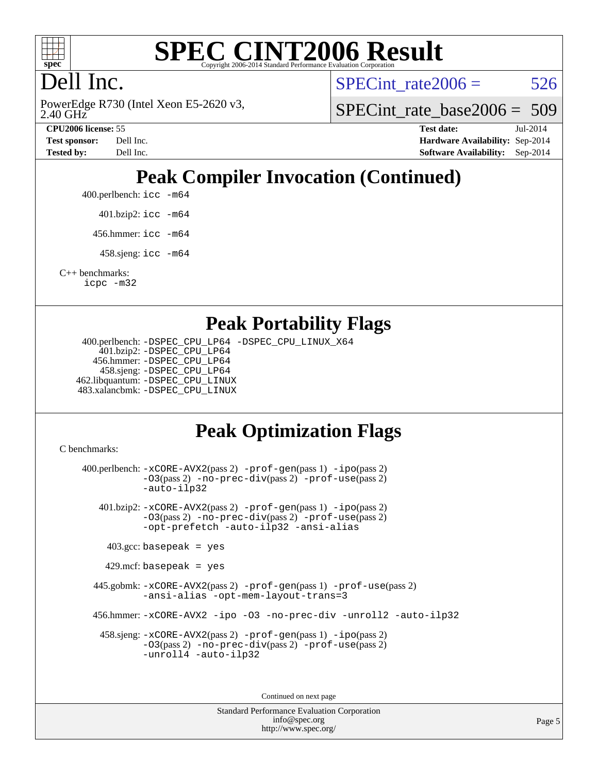

# **[SPEC CINT2006 Result](http://www.spec.org/auto/cpu2006/Docs/result-fields.html#SPECCINT2006Result)**

# Dell Inc.

2.40 GHz PowerEdge R730 (Intel Xeon E5-2620 v3, SPECint rate $2006 = 526$ 

SPECint rate base2006 =  $509$ 

**[CPU2006 license:](http://www.spec.org/auto/cpu2006/Docs/result-fields.html#CPU2006license)** 55 **[Test date:](http://www.spec.org/auto/cpu2006/Docs/result-fields.html#Testdate)** Jul-2014 **[Test sponsor:](http://www.spec.org/auto/cpu2006/Docs/result-fields.html#Testsponsor)** Dell Inc. **[Hardware Availability:](http://www.spec.org/auto/cpu2006/Docs/result-fields.html#HardwareAvailability)** Sep-2014 **[Tested by:](http://www.spec.org/auto/cpu2006/Docs/result-fields.html#Testedby)** Dell Inc. **[Software Availability:](http://www.spec.org/auto/cpu2006/Docs/result-fields.html#SoftwareAvailability)** Sep-2014

# **[Peak Compiler Invocation \(Continued\)](http://www.spec.org/auto/cpu2006/Docs/result-fields.html#PeakCompilerInvocation)**

400.perlbench: [icc -m64](http://www.spec.org/cpu2006/results/res2014q3/cpu2006-20140909-31349.flags.html#user_peakCCLD400_perlbench_intel_icc_64bit_bda6cc9af1fdbb0edc3795bac97ada53)

401.bzip2: [icc -m64](http://www.spec.org/cpu2006/results/res2014q3/cpu2006-20140909-31349.flags.html#user_peakCCLD401_bzip2_intel_icc_64bit_bda6cc9af1fdbb0edc3795bac97ada53)

456.hmmer: [icc -m64](http://www.spec.org/cpu2006/results/res2014q3/cpu2006-20140909-31349.flags.html#user_peakCCLD456_hmmer_intel_icc_64bit_bda6cc9af1fdbb0edc3795bac97ada53)

458.sjeng: [icc -m64](http://www.spec.org/cpu2006/results/res2014q3/cpu2006-20140909-31349.flags.html#user_peakCCLD458_sjeng_intel_icc_64bit_bda6cc9af1fdbb0edc3795bac97ada53)

[C++ benchmarks:](http://www.spec.org/auto/cpu2006/Docs/result-fields.html#CXXbenchmarks) [icpc -m32](http://www.spec.org/cpu2006/results/res2014q3/cpu2006-20140909-31349.flags.html#user_CXXpeak_intel_icpc_4e5a5ef1a53fd332b3c49e69c3330699)

## **[Peak Portability Flags](http://www.spec.org/auto/cpu2006/Docs/result-fields.html#PeakPortabilityFlags)**

 400.perlbench: [-DSPEC\\_CPU\\_LP64](http://www.spec.org/cpu2006/results/res2014q3/cpu2006-20140909-31349.flags.html#b400.perlbench_peakCPORTABILITY_DSPEC_CPU_LP64) [-DSPEC\\_CPU\\_LINUX\\_X64](http://www.spec.org/cpu2006/results/res2014q3/cpu2006-20140909-31349.flags.html#b400.perlbench_peakCPORTABILITY_DSPEC_CPU_LINUX_X64) 401.bzip2: [-DSPEC\\_CPU\\_LP64](http://www.spec.org/cpu2006/results/res2014q3/cpu2006-20140909-31349.flags.html#suite_peakCPORTABILITY401_bzip2_DSPEC_CPU_LP64) 456.hmmer: [-DSPEC\\_CPU\\_LP64](http://www.spec.org/cpu2006/results/res2014q3/cpu2006-20140909-31349.flags.html#suite_peakCPORTABILITY456_hmmer_DSPEC_CPU_LP64) 458.sjeng: [-DSPEC\\_CPU\\_LP64](http://www.spec.org/cpu2006/results/res2014q3/cpu2006-20140909-31349.flags.html#suite_peakCPORTABILITY458_sjeng_DSPEC_CPU_LP64) 462.libquantum: [-DSPEC\\_CPU\\_LINUX](http://www.spec.org/cpu2006/results/res2014q3/cpu2006-20140909-31349.flags.html#b462.libquantum_peakCPORTABILITY_DSPEC_CPU_LINUX) 483.xalancbmk: [-DSPEC\\_CPU\\_LINUX](http://www.spec.org/cpu2006/results/res2014q3/cpu2006-20140909-31349.flags.html#b483.xalancbmk_peakCXXPORTABILITY_DSPEC_CPU_LINUX)

## **[Peak Optimization Flags](http://www.spec.org/auto/cpu2006/Docs/result-fields.html#PeakOptimizationFlags)**

[C benchmarks](http://www.spec.org/auto/cpu2006/Docs/result-fields.html#Cbenchmarks):

 400.perlbench: [-xCORE-AVX2](http://www.spec.org/cpu2006/results/res2014q3/cpu2006-20140909-31349.flags.html#user_peakPASS2_CFLAGSPASS2_LDCFLAGS400_perlbench_f-xAVX2_5f5fc0cbe2c9f62c816d3e45806c70d7)(pass 2) [-prof-gen](http://www.spec.org/cpu2006/results/res2014q3/cpu2006-20140909-31349.flags.html#user_peakPASS1_CFLAGSPASS1_LDCFLAGS400_perlbench_prof_gen_e43856698f6ca7b7e442dfd80e94a8fc)(pass 1) [-ipo](http://www.spec.org/cpu2006/results/res2014q3/cpu2006-20140909-31349.flags.html#user_peakPASS2_CFLAGSPASS2_LDCFLAGS400_perlbench_f-ipo)(pass 2) [-O3](http://www.spec.org/cpu2006/results/res2014q3/cpu2006-20140909-31349.flags.html#user_peakPASS2_CFLAGSPASS2_LDCFLAGS400_perlbench_f-O3)(pass 2) [-no-prec-div](http://www.spec.org/cpu2006/results/res2014q3/cpu2006-20140909-31349.flags.html#user_peakPASS2_CFLAGSPASS2_LDCFLAGS400_perlbench_f-no-prec-div)(pass 2) [-prof-use](http://www.spec.org/cpu2006/results/res2014q3/cpu2006-20140909-31349.flags.html#user_peakPASS2_CFLAGSPASS2_LDCFLAGS400_perlbench_prof_use_bccf7792157ff70d64e32fe3e1250b55)(pass 2) [-auto-ilp32](http://www.spec.org/cpu2006/results/res2014q3/cpu2006-20140909-31349.flags.html#user_peakCOPTIMIZE400_perlbench_f-auto-ilp32) 401.bzip2: [-xCORE-AVX2](http://www.spec.org/cpu2006/results/res2014q3/cpu2006-20140909-31349.flags.html#user_peakPASS2_CFLAGSPASS2_LDCFLAGS401_bzip2_f-xAVX2_5f5fc0cbe2c9f62c816d3e45806c70d7)(pass 2) [-prof-gen](http://www.spec.org/cpu2006/results/res2014q3/cpu2006-20140909-31349.flags.html#user_peakPASS1_CFLAGSPASS1_LDCFLAGS401_bzip2_prof_gen_e43856698f6ca7b7e442dfd80e94a8fc)(pass 1) [-ipo](http://www.spec.org/cpu2006/results/res2014q3/cpu2006-20140909-31349.flags.html#user_peakPASS2_CFLAGSPASS2_LDCFLAGS401_bzip2_f-ipo)(pass 2) [-O3](http://www.spec.org/cpu2006/results/res2014q3/cpu2006-20140909-31349.flags.html#user_peakPASS2_CFLAGSPASS2_LDCFLAGS401_bzip2_f-O3)(pass 2) [-no-prec-div](http://www.spec.org/cpu2006/results/res2014q3/cpu2006-20140909-31349.flags.html#user_peakPASS2_CFLAGSPASS2_LDCFLAGS401_bzip2_f-no-prec-div)(pass 2) [-prof-use](http://www.spec.org/cpu2006/results/res2014q3/cpu2006-20140909-31349.flags.html#user_peakPASS2_CFLAGSPASS2_LDCFLAGS401_bzip2_prof_use_bccf7792157ff70d64e32fe3e1250b55)(pass 2) [-opt-prefetch](http://www.spec.org/cpu2006/results/res2014q3/cpu2006-20140909-31349.flags.html#user_peakCOPTIMIZE401_bzip2_f-opt-prefetch) [-auto-ilp32](http://www.spec.org/cpu2006/results/res2014q3/cpu2006-20140909-31349.flags.html#user_peakCOPTIMIZE401_bzip2_f-auto-ilp32) [-ansi-alias](http://www.spec.org/cpu2006/results/res2014q3/cpu2006-20140909-31349.flags.html#user_peakCOPTIMIZE401_bzip2_f-ansi-alias)  $403.\text{gcc: basepeak}$  = yes  $429$ .mcf: basepeak = yes 445.gobmk: [-xCORE-AVX2](http://www.spec.org/cpu2006/results/res2014q3/cpu2006-20140909-31349.flags.html#user_peakPASS2_CFLAGSPASS2_LDCFLAGS445_gobmk_f-xAVX2_5f5fc0cbe2c9f62c816d3e45806c70d7)(pass 2) [-prof-gen](http://www.spec.org/cpu2006/results/res2014q3/cpu2006-20140909-31349.flags.html#user_peakPASS1_CFLAGSPASS1_LDCFLAGS445_gobmk_prof_gen_e43856698f6ca7b7e442dfd80e94a8fc)(pass 1) [-prof-use](http://www.spec.org/cpu2006/results/res2014q3/cpu2006-20140909-31349.flags.html#user_peakPASS2_CFLAGSPASS2_LDCFLAGS445_gobmk_prof_use_bccf7792157ff70d64e32fe3e1250b55)(pass 2) [-ansi-alias](http://www.spec.org/cpu2006/results/res2014q3/cpu2006-20140909-31349.flags.html#user_peakCOPTIMIZE445_gobmk_f-ansi-alias) [-opt-mem-layout-trans=3](http://www.spec.org/cpu2006/results/res2014q3/cpu2006-20140909-31349.flags.html#user_peakCOPTIMIZE445_gobmk_f-opt-mem-layout-trans_a7b82ad4bd7abf52556d4961a2ae94d5) 456.hmmer: [-xCORE-AVX2](http://www.spec.org/cpu2006/results/res2014q3/cpu2006-20140909-31349.flags.html#user_peakCOPTIMIZE456_hmmer_f-xAVX2_5f5fc0cbe2c9f62c816d3e45806c70d7) [-ipo](http://www.spec.org/cpu2006/results/res2014q3/cpu2006-20140909-31349.flags.html#user_peakCOPTIMIZE456_hmmer_f-ipo) [-O3](http://www.spec.org/cpu2006/results/res2014q3/cpu2006-20140909-31349.flags.html#user_peakCOPTIMIZE456_hmmer_f-O3) [-no-prec-div](http://www.spec.org/cpu2006/results/res2014q3/cpu2006-20140909-31349.flags.html#user_peakCOPTIMIZE456_hmmer_f-no-prec-div) [-unroll2](http://www.spec.org/cpu2006/results/res2014q3/cpu2006-20140909-31349.flags.html#user_peakCOPTIMIZE456_hmmer_f-unroll_784dae83bebfb236979b41d2422d7ec2) [-auto-ilp32](http://www.spec.org/cpu2006/results/res2014q3/cpu2006-20140909-31349.flags.html#user_peakCOPTIMIZE456_hmmer_f-auto-ilp32) 458.sjeng: [-xCORE-AVX2](http://www.spec.org/cpu2006/results/res2014q3/cpu2006-20140909-31349.flags.html#user_peakPASS2_CFLAGSPASS2_LDCFLAGS458_sjeng_f-xAVX2_5f5fc0cbe2c9f62c816d3e45806c70d7)(pass 2) [-prof-gen](http://www.spec.org/cpu2006/results/res2014q3/cpu2006-20140909-31349.flags.html#user_peakPASS1_CFLAGSPASS1_LDCFLAGS458_sjeng_prof_gen_e43856698f6ca7b7e442dfd80e94a8fc)(pass 1) [-ipo](http://www.spec.org/cpu2006/results/res2014q3/cpu2006-20140909-31349.flags.html#user_peakPASS2_CFLAGSPASS2_LDCFLAGS458_sjeng_f-ipo)(pass 2) [-O3](http://www.spec.org/cpu2006/results/res2014q3/cpu2006-20140909-31349.flags.html#user_peakPASS2_CFLAGSPASS2_LDCFLAGS458_sjeng_f-O3)(pass 2) [-no-prec-div](http://www.spec.org/cpu2006/results/res2014q3/cpu2006-20140909-31349.flags.html#user_peakPASS2_CFLAGSPASS2_LDCFLAGS458_sjeng_f-no-prec-div)(pass 2) [-prof-use](http://www.spec.org/cpu2006/results/res2014q3/cpu2006-20140909-31349.flags.html#user_peakPASS2_CFLAGSPASS2_LDCFLAGS458_sjeng_prof_use_bccf7792157ff70d64e32fe3e1250b55)(pass 2) [-unroll4](http://www.spec.org/cpu2006/results/res2014q3/cpu2006-20140909-31349.flags.html#user_peakCOPTIMIZE458_sjeng_f-unroll_4e5e4ed65b7fd20bdcd365bec371b81f) [-auto-ilp32](http://www.spec.org/cpu2006/results/res2014q3/cpu2006-20140909-31349.flags.html#user_peakCOPTIMIZE458_sjeng_f-auto-ilp32)

Continued on next page